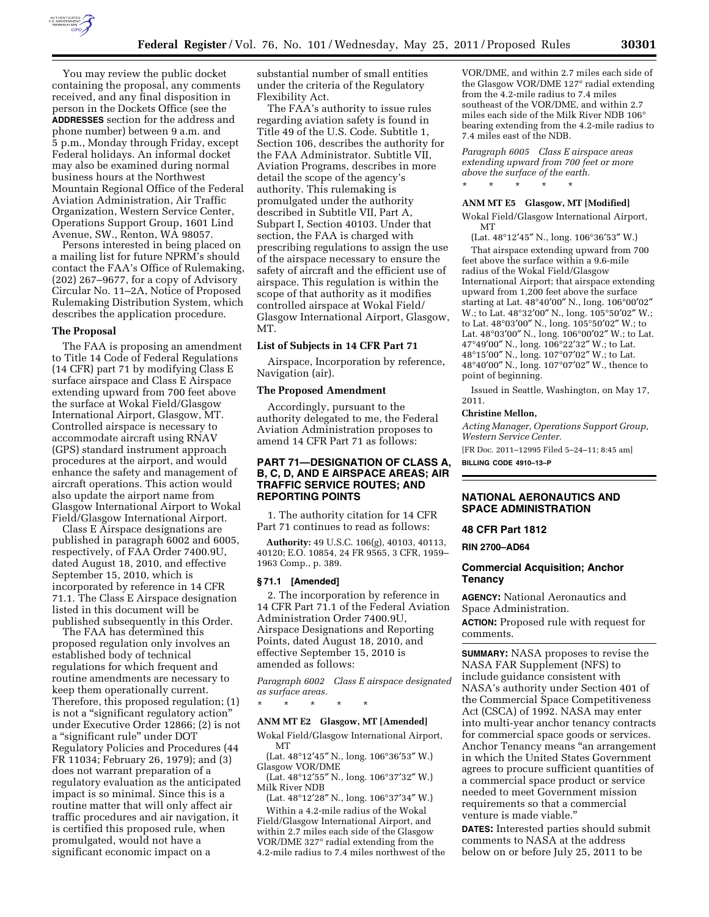

You may review the public docket containing the proposal, any comments received, and any final disposition in person in the Dockets Office (see the **ADDRESSES** section for the address and phone number) between 9 a.m. and 5 p.m., Monday through Friday, except Federal holidays. An informal docket may also be examined during normal business hours at the Northwest Mountain Regional Office of the Federal Aviation Administration, Air Traffic Organization, Western Service Center, Operations Support Group, 1601 Lind Avenue, SW., Renton, WA 98057.

Persons interested in being placed on a mailing list for future NPRM's should contact the FAA's Office of Rulemaking, (202) 267–9677, for a copy of Advisory Circular No. 11–2A, Notice of Proposed Rulemaking Distribution System, which describes the application procedure.

# **The Proposal**

The FAA is proposing an amendment to Title 14 Code of Federal Regulations (14 CFR) part 71 by modifying Class E surface airspace and Class E Airspace extending upward from 700 feet above the surface at Wokal Field/Glasgow International Airport, Glasgow, MT. Controlled airspace is necessary to accommodate aircraft using RNAV (GPS) standard instrument approach procedures at the airport, and would enhance the safety and management of aircraft operations. This action would also update the airport name from Glasgow International Airport to Wokal Field/Glasgow International Airport.

Class E Airspace designations are published in paragraph 6002 and 6005, respectively, of FAA Order 7400.9U, dated August 18, 2010, and effective September 15, 2010, which is incorporated by reference in 14 CFR 71.1. The Class E Airspace designation listed in this document will be published subsequently in this Order.

The FAA has determined this proposed regulation only involves an established body of technical regulations for which frequent and routine amendments are necessary to keep them operationally current. Therefore, this proposed regulation; (1) is not a "significant regulatory action" under Executive Order 12866; (2) is not a ''significant rule'' under DOT Regulatory Policies and Procedures (44 FR 11034; February 26, 1979); and (3) does not warrant preparation of a regulatory evaluation as the anticipated impact is so minimal. Since this is a routine matter that will only affect air traffic procedures and air navigation, it is certified this proposed rule, when promulgated, would not have a significant economic impact on a

substantial number of small entities under the criteria of the Regulatory Flexibility Act.

The FAA's authority to issue rules regarding aviation safety is found in Title 49 of the U.S. Code. Subtitle 1, Section 106, describes the authority for the FAA Administrator. Subtitle VII, Aviation Programs, describes in more detail the scope of the agency's authority. This rulemaking is promulgated under the authority described in Subtitle VII, Part A, Subpart I, Section 40103. Under that section, the FAA is charged with prescribing regulations to assign the use of the airspace necessary to ensure the safety of aircraft and the efficient use of airspace. This regulation is within the scope of that authority as it modifies controlled airspace at Wokal Field/ Glasgow International Airport, Glasgow, MT.

#### **List of Subjects in 14 CFR Part 71**

Airspace, Incorporation by reference, Navigation (air).

#### **The Proposed Amendment**

Accordingly, pursuant to the authority delegated to me, the Federal Aviation Administration proposes to amend 14 CFR Part 71 as follows:

# **PART 71—DESIGNATION OF CLASS A, B, C, D, AND E AIRSPACE AREAS; AIR TRAFFIC SERVICE ROUTES; AND REPORTING POINTS**

1. The authority citation for 14 CFR Part 71 continues to read as follows:

**Authority:** 49 U.S.C. 106(g), 40103, 40113, 40120; E.O. 10854, 24 FR 9565, 3 CFR, 1959– 1963 Comp., p. 389.

#### **§ 71.1 [Amended]**

2. The incorporation by reference in 14 CFR Part 71.1 of the Federal Aviation Administration Order 7400.9U, Airspace Designations and Reporting Points, dated August 18, 2010, and effective September 15, 2010 is amended as follows:

*Paragraph 6002 Class E airspace designated as surface areas.* 

\* \* \* \* \*

### **ANM MT E2 Glasgow, MT [Amended]**

Wokal Field/Glasgow International Airport, MT

(Lat. 48°12′45″ N., long. 106°36′53″ W.) Glasgow VOR/DME

(Lat. 48°12′55″ N., long. 106°37′32″ W.) Milk River NDB

(Lat. 48°12′28″ N., long. 106°37′34″ W.) Within a 4.2-mile radius of the Wokal Field/Glasgow International Airport, and within 2.7 miles each side of the Glasgow VOR/DME 327° radial extending from the 4.2-mile radius to 7.4 miles northwest of the

VOR/DME, and within 2.7 miles each side of the Glasgow VOR/DME 127° radial extending from the 4.2-mile radius to 7.4 miles southeast of the VOR/DME, and within 2.7 miles each side of the Milk River NDB 106° bearing extending from the 4.2-mile radius to 7.4 miles east of the NDB.

*Paragraph 6005 Class E airspace areas extending upward from 700 feet or more above the surface of the earth.* 

### **ANM MT E5 Glasgow, MT [Modified]**

\* \* \* \* \*

Wokal Field/Glasgow International Airport, **MT** 

(Lat. 48°12′45″ N., long. 106°36′53″ W.) That airspace extending upward from 700 feet above the surface within a 9.6-mile radius of the Wokal Field/Glasgow International Airport; that airspace extending upward from 1,200 feet above the surface starting at Lat. 48°40′00″ N., long. 106°00′02″ W.; to Lat. 48°32′00″ N., long. 105°50′02″ W.; to Lat. 48°03′00″ N., long. 105°50′02″ W.; to Lat. 48°03′00″ N., long. 106°00′02″ W.; to Lat. 47°49′00″ N., long. 106°22′32″ W.; to Lat. 48°15′00″ N., long. 107°07′02″ W.; to Lat. 48°40′00″ N., long. 107°07′02″ W., thence to point of beginning.

Issued in Seattle, Washington, on May 17, 2011.

#### **Christine Mellon,**

*Acting Manager, Operations Support Group, Western Service Center.*  [FR Doc. 2011–12995 Filed 5–24–11; 8:45 am]

**BILLING CODE 4910–13–P** 

### **NATIONAL AERONAUTICS AND SPACE ADMINISTRATION**

#### **48 CFR Part 1812**

**RIN 2700–AD64** 

### **Commercial Acquisition; Anchor Tenancy**

**AGENCY:** National Aeronautics and Space Administration.

**ACTION:** Proposed rule with request for comments.

**SUMMARY:** NASA proposes to revise the NASA FAR Supplement (NFS) to include guidance consistent with NASA's authority under Section 401 of the Commercial Space Competitiveness Act (CSCA) of 1992. NASA may enter into multi-year anchor tenancy contracts for commercial space goods or services. Anchor Tenancy means ''an arrangement in which the United States Government agrees to procure sufficient quantities of a commercial space product or service needed to meet Government mission requirements so that a commercial venture is made viable.''

**DATES:** Interested parties should submit comments to NASA at the address below on or before July 25, 2011 to be